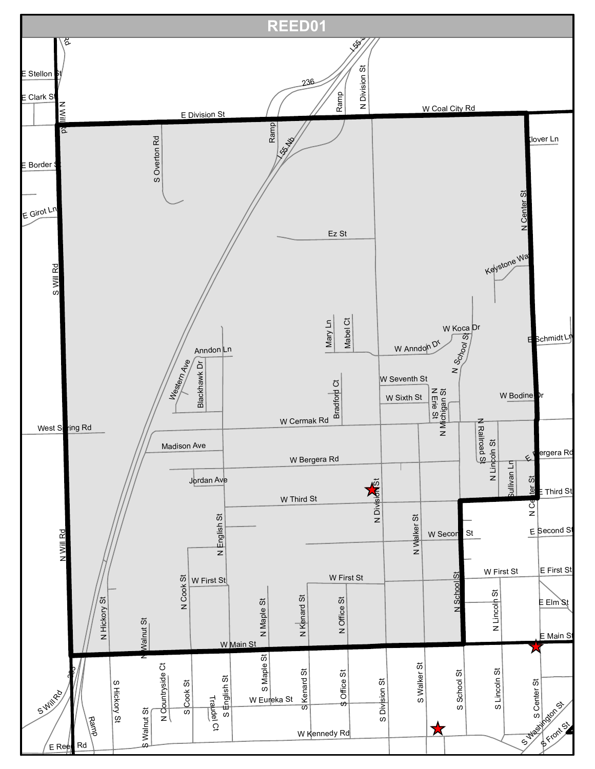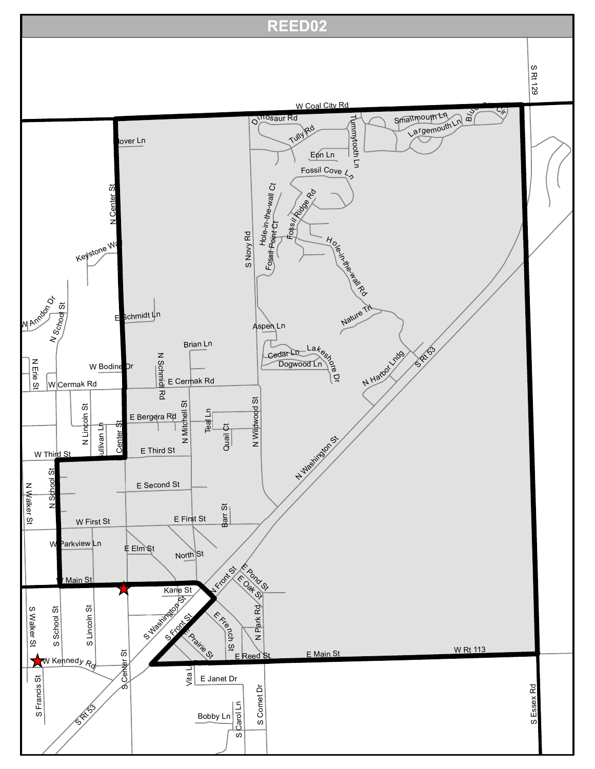